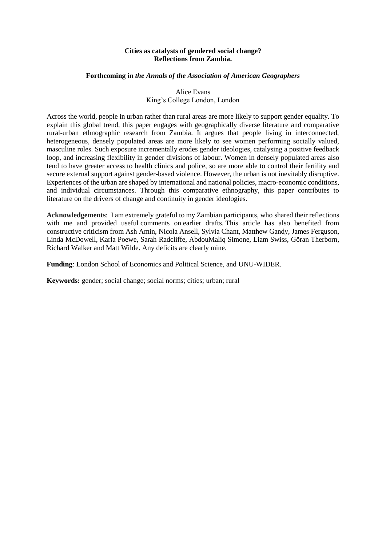#### **Cities as catalysts of gendered social change? Reflections from Zambia.**

#### **Forthcoming in** *the Annals of the Association of American Geographers*

### Alice Evans King's College London, London

Across the world, people in urban rather than rural areas are more likely to support gender equality. To explain this global trend, this paper engages with geographically diverse literature and comparative rural-urban ethnographic research from Zambia. It argues that people living in interconnected, heterogeneous, densely populated areas are more likely to see women performing socially valued, masculine roles. Such exposure incrementally erodes gender ideologies, catalysing a positive feedback loop, and increasing flexibility in gender divisions of labour. Women in densely populated areas also tend to have greater access to health clinics and police, so are more able to control their fertility and secure external support against gender-based violence. However, the urban is not inevitably disruptive. Experiences of the urban are shaped by international and national policies, macro-economic conditions, and individual circumstances. Through this comparative ethnography, this paper contributes to literature on the drivers of change and continuity in gender ideologies.

**Acknowledgements**: I am extremely grateful to my Zambian participants, who shared their reflections with me and provided useful comments on earlier drafts. This article has also benefited from constructive criticism from Ash Amin, Nicola Ansell, Sylvia Chant, Matthew Gandy, James Ferguson, Linda McDowell, Karla Poewe, Sarah Radcliffe, AbdouMaliq Simone, Liam Swiss, Göran Therborn, Richard Walker and Matt Wilde. Any deficits are clearly mine.

**Funding**: London School of Economics and Political Science, and UNU-WIDER.

**Keywords:** gender; social change; social norms; cities; urban; rural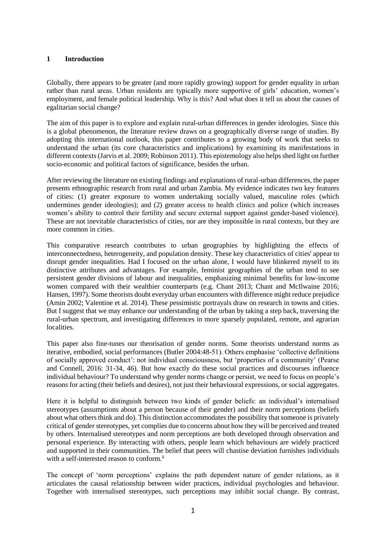# **1 Introduction**

Globally, there appears to be greater (and more rapidly growing) support for gender equality in urban rather than rural areas. Urban residents are typically more supportive of girls' education, women's employment, and female political leadership. Why is this? And what does it tell us about the causes of egalitarian social change?

The aim of this paper is to explore and explain rural-urban differences in gender ideologies. Since this is a global phenomenon, the literature review draws on a geographically diverse range of studies. By adopting this international outlook, this paper contributes to a growing body of work that seeks to understand the urban (its core characteristics and implications) by examining its manifestations in different contexts (Jarvis et al. 2009; Robinson 2011). This epistemology also helps shed light on further socio-economic and political factors of significance, besides the urban.

After reviewing the literature on existing findings and explanations of rural-urban differences, the paper presents ethnographic research from rural and urban Zambia. My evidence indicates two key features of cities: (1) greater exposure to women undertaking socially valued, masculine roles (which undermines gender ideologies); and (2) greater access to health clinics and police (which increases women's ability to control their fertility and secure external support against gender-based violence). These are not inevitable characteristics of cities, nor are they impossible in rural contexts, but they are more common in cities.

This comparative research contributes to urban geographies by highlighting the effects of interconnectedness, heterogeneity, and population density. These key characteristics of cities<sup>i</sup> appear to disrupt gender inequalities. Had I focused on the urban alone, I would have blinkered myself to its distinctive attributes and advantages. For example, feminist geographies of the urban tend to see persistent gender divisions of labour and inequalities, emphasizing minimal benefits for low-income women compared with their wealthier counterparts (e.g. Chant 2013; Chant and McIlwaine 2016; Hansen, 1997). Some theorists doubt everyday urban encounters with difference might reduce prejudice (Amin 2002; Valentine et al. 2014). These pessimistic portrayals draw on research in towns and cities. But I suggest that we may enhance our understanding of the urban by taking a step back, traversing the rural-urban spectrum, and investigating differences in more sparsely populated, remote, and agrarian localities.

This paper also fine-tunes our theorisation of gender norms. Some theorists understand norms as iterative, embodied, social performances (Butler 2004:48-51). Others emphasise 'collective definitions of socially approved conduct': not individual consciousness, but 'properties of a community' (Pearse and Connell, 2016: 31-34, 46). But how exactly do these social practices and discourses influence individual behaviour? To understand why gender norms change or persist, we need to focus on people's reasons for acting (their beliefs and desires), not just their behavioural expressions, or social aggregates.

Here it is helpful to distinguish between two kinds of gender beliefs: an individual's internalised stereotypes (assumptions about a person because of their gender) and their norm perceptions (beliefs about what others think and do). This distinction accommodates the possibility that someone is privately critical of gender stereotypes, yet complies due to concerns about how they will be perceived and treated by others. Internalised stereotypes and norm perceptions are both developed through observation and personal experience. By interacting with others, people learn which behaviours are widely practiced and supported in their communities. The belief that peers will chastise deviation furnishes individuals with a self-interested reason to conform.<sup>ii</sup>

The concept of 'norm perceptions' explains the path dependent nature of gender relations, as it articulates the causal relationship between wider practices, individual psychologies and behaviour. Together with internalised stereotypes, such perceptions may inhibit social change. By contrast,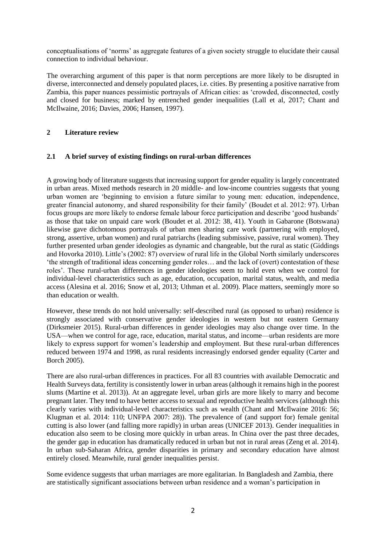conceptualisations of 'norms' as aggregate features of a given society struggle to elucidate their causal connection to individual behaviour.

The overarching argument of this paper is that norm perceptions are more likely to be disrupted in diverse, interconnected and densely populated places, i.e. cities. By presenting a positive narrative from Zambia, this paper nuances pessimistic portrayals of African cities: as 'crowded, disconnected, costly and closed for business; marked by entrenched gender inequalities (Lall et al, 2017; Chant and McIlwaine, 2016; Davies, 2006; Hansen, 1997).

# **2 Literature review**

# **2.1 A brief survey of existing findings on rural-urban differences**

A growing body of literature suggests that increasing support for gender equality is largely concentrated in urban areas. Mixed methods research in 20 middle- and low-income countries suggests that young urban women are 'beginning to envision a future similar to young men: education, independence, greater financial autonomy, and shared responsibility for their family' (Boudet et al. 2012: 97). Urban focus groups are more likely to endorse female labour force participation and describe 'good husbands' as those that take on unpaid care work (Boudet et al. 2012: 38, 41). Youth in Gabarone (Botswana) likewise gave dichotomous portrayals of urban men sharing care work (partnering with employed, strong, assertive, urban women) and rural patriarchs (leading submissive, passive, rural women). They further presented urban gender ideologies as dynamic and changeable, but the rural as static (Giddings and Hovorka 2010). Little's (2002: 87) overview of rural life in the Global North similarly underscores 'the strength of traditional ideas concerning gender roles… and the lack of (overt) contestation of these roles'. These rural-urban differences in gender ideologies seem to hold even when we control for individual-level characteristics such as age, education, occupation, marital status, wealth, and media access (Alesina et al. 2016; Snow et al, 2013; Uthman et al. 2009). Place matters, seemingly more so than education or wealth.

However, these trends do not hold universally: self-described rural (as opposed to urban) residence is strongly associated with conservative gender ideologies in western but not eastern Germany (Dirksmeier 2015). Rural-urban differences in gender ideologies may also change over time. In the USA—when we control for age, race, education, marital status, and income—urban residents are more likely to express support for women's leadership and employment. But these rural-urban differences reduced between 1974 and 1998, as rural residents increasingly endorsed gender equality (Carter and Borch 2005).

There are also rural-urban differences in practices. For all 83 countries with available Democratic and Health Surveys data, fertility is consistently lower in urban areas (although it remains high in the poorest slums (Martine et al. 2013)). At an aggregate level, urban girls are more likely to marry and become pregnant later. They tend to have better access to sexual and reproductive health services (although this clearly varies with individual-level characteristics such as wealth (Chant and McIlwaine 2016: 56; Klugman et al. 2014: 110; UNFPA 2007: 28)). The prevalence of (and support for) female genital cutting is also lower (and falling more rapidly) in urban areas (UNICEF 2013). Gender inequalities in education also seem to be closing more quickly in urban areas. In China over the past three decades, the gender gap in education has dramatically reduced in urban but not in rural areas (Zeng et al. 2014). In urban sub-Saharan Africa, gender disparities in primary and secondary education have almost entirely closed. Meanwhile, rural gender inequalities persist.

Some evidence suggests that urban marriages are more egalitarian. In Bangladesh and Zambia, there are statistically significant associations between urban residence and a woman's participation in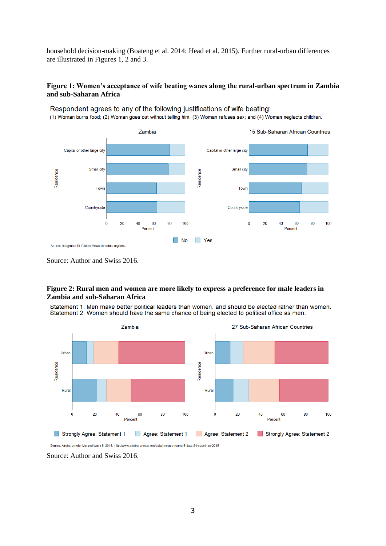household decision-making (Boateng et al. 2014; Head et al. 2015). Further rural-urban differences are illustrated in Figures 1, 2 and 3.

#### **Figure 1: Women's acceptance of wife beating wanes along the rural-urban spectrum in Zambia and sub-Saharan Africa**



Respondent agrees to any of the following justifications of wife beating:

(1) Woman burns food; (2) Woman goes out without telling him; (3) Woman refuses sex; and (4) Woman neglects children.

Source: Author and Swiss 2016.

#### **Figure 2: Rural men and women are more likely to express a preference for male leaders in Zambia and sub-Saharan Africa**

Statement 1: Men make better political leaders than women, and should be elected rather than women. Statement 2: Women should have the same chance of being elected to political office as men.



Source: Afrobarometer Merged Wave 5, 2015. http://www.afrobarometer.org/data/merged-round-5-data-34-countries-2015

Source: Author and Swiss 2016.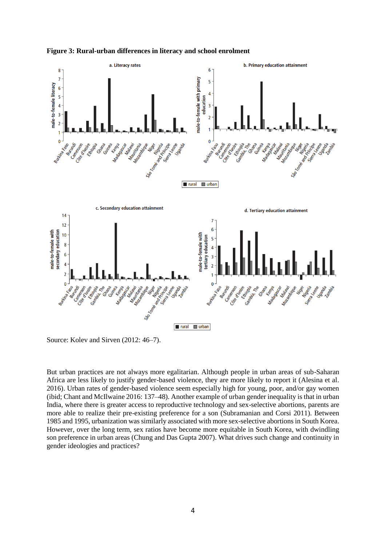

**Figure 3: Rural-urban differences in literacy and school enrolment**

Source: Kolev and Sirven (2012: 46–7).

But urban practices are not always more egalitarian. Although people in urban areas of sub-Saharan Africa are less likely to justify gender-based violence, they are more likely to report it (Alesina et al. 2016). Urban rates of gender-based violence seem especially high for young, poor, and/or gay women (ibid; Chant and McIlwaine 2016: 137–48). Another example of urban gender inequality is that in urban India, where there is greater access to reproductive technology and sex-selective abortions, parents are more able to realize their pre-existing preference for a son (Subramanian and Corsi 2011). Between 1985 and 1995, urbanization was similarly associated with more sex-selective abortions in South Korea. However, over the long term, sex ratios have become more equitable in South Korea, with dwindling son preference in urban areas (Chung and Das Gupta 2007). What drives such change and continuity in gender ideologies and practices?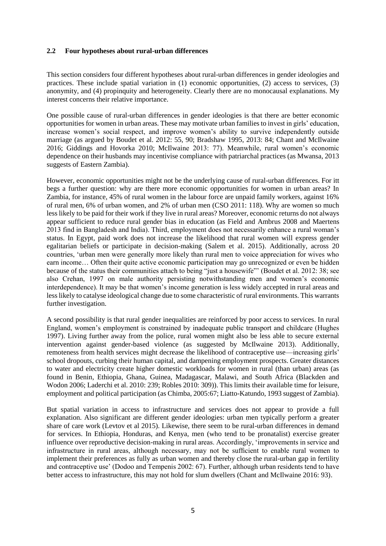#### **2.2 Four hypotheses about rural-urban differences**

This section considers four different hypotheses about rural-urban differences in gender ideologies and practices. These include spatial variation in (1) economic opportunities, (2) access to services, (3) anonymity, and (4) propinquity and heterogeneity. Clearly there are no monocausal explanations. My interest concerns their relative importance.

One possible cause of rural-urban differences in gender ideologies is that there are better economic opportunities for women in urban areas. These may motivate urban families to invest in girls' education, increase women's social respect, and improve women's ability to survive independently outside marriage (as argued by Boudet et al. 2012: 55, 90; Bradshaw 1995, 2013: 84; Chant and McIlwaine 2016; Giddings and Hovorka 2010; McIlwaine 2013: 77). Meanwhile, rural women's economic dependence on their husbands may incentivise compliance with patriarchal practices (as Mwansa, 2013 suggests of Eastern Zambia).

However, economic opportunities might not be the underlying cause of rural-urban differences. For itt begs a further question: why are there more economic opportunities for women in urban areas? In Zambia, for instance, 45% of rural women in the labour force are unpaid family workers, against 16% of rural men, 6% of urban women, and 2% of urban men (CSO 2011: 118). Why are women so much less likely to be paid for their work if they live in rural areas? Moreover, economic returns do not always appear sufficient to reduce rural gender bias in education (as Field and Ambrus 2008 and Maertens 2013 find in Bangladesh and India). Third, employment does not necessarily enhance a rural woman's status. In Egypt, paid work does not increase the likelihood that rural women will express gender egalitarian beliefs or participate in decision-making (Salem et al. 2015). Additionally, across 20 countries, 'urban men were generally more likely than rural men to voice appreciation for wives who earn income… Often their quite active economic participation may go unrecognized or even be hidden because of the status their communities attach to being "just a housewife"' (Boudet et al. 2012: 38; see also Crehan, 1997 on male authority persisting notwithstanding men and women's economic interdependence). It may be that women's income generation is less widely accepted in rural areas and less likely to catalyse ideological change due to some characteristic of rural environments. This warrants further investigation.

A second possibility is that rural gender inequalities are reinforced by poor access to services. In rural England, women's employment is constrained by inadequate public transport and childcare (Hughes 1997). Living further away from the police, rural women might also be less able to secure external intervention against gender-based violence (as suggested by McIlwaine 2013). Additionally, remoteness from health services might decrease the likelihood of contraceptive use—increasing girls' school dropouts, curbing their human capital, and dampening employment prospects. Greater distances to water and electricity create higher domestic workloads for women in rural (than urban) areas (as found in Benin, Ethiopia, Ghana, Guinea, Madagascar, Malawi, and South Africa (Blackden and Wodon 2006; Laderchi et al. 2010: 239; Robles 2010: 309)). This limits their available time for leisure, employment and political participation (as Chimba, 2005:67; Liatto-Katundo, 1993 suggest of Zambia).

But spatial variation in access to infrastructure and services does not appear to provide a full explanation. Also significant are different gender ideologies: urban men typically perform a greater share of care work (Levtov et al 2015). Likewise, there seem to be rural-urban differences in demand for services. In Ethiopia, Honduras, and Kenya, men (who tend to be pronatalist) exercise greater influence over reproductive decision-making in rural areas. Accordingly, 'improvements in service and infrastructure in rural areas, although necessary, may not be sufficient to enable rural women to implement their preferences as fully as urban women and thereby close the rural-urban gap in fertility and contraceptive use' (Dodoo and Tempenis 2002: 67). Further, although urban residents tend to have better access to infrastructure, this may not hold for slum dwellers (Chant and McIlwaine 2016: 93).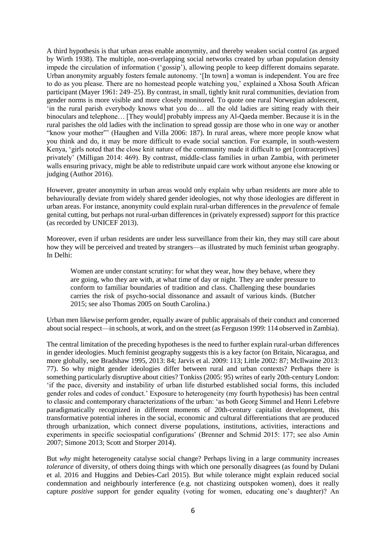A third hypothesis is that urban areas enable anonymity, and thereby weaken social control (as argued by Wirth 1938). The multiple, non-overlapping social networks created by urban population density impede the circulation of information ('gossip'), allowing people to keep different domains separate. Urban anonymity arguably fosters female autonomy. '[In town] a woman is independent. You are free to do as you please. There are no homestead people watching you,' explained a Xhosa South African participant (Mayer 1961: 249–25). By contrast, in small, tightly knit rural communities, deviation from gender norms is more visible and more closely monitored. To quote one rural Norwegian adolescent, 'in the rural parish everybody knows what you do… all the old ladies are sitting ready with their binoculars and telephone… [They would] probably impress any Al-Qaeda member. Because it is in the rural parishes the old ladies with the inclination to spread gossip are those who in one way or another "know your mother"' (Haughen and Villa 2006: 187). In rural areas, where more people know what you think and do, it may be more difficult to evade social sanction. For example, in south-western Kenya, 'girls noted that the close knit nature of the community made it difficult to get [contraceptives] privately' (Milligan 2014: 469). By contrast, middle-class families in urban Zambia, with perimeter walls ensuring privacy, might be able to redistribute unpaid care work without anyone else knowing or judging (Author 2016).

However, greater anonymity in urban areas would only explain why urban residents are more able to behaviourally deviate from widely shared gender ideologies, not why those ideologies are different in urban areas. For instance, anonymity could explain rural-urban differences in the *prevalence* of female genital cutting, but perhaps not rural-urban differences in (privately expressed) *support* for this practice (as recorded by UNICEF 2013).

Moreover, even if urban residents are under less surveillance from their kin, they may still care about how they will be perceived and treated by strangers—as illustrated by much feminist urban geography. In Delhi:

Women are under constant scrutiny: for what they wear, how they behave, where they are going, who they are with, at what time of day or night. They are under pressure to conform to familiar boundaries of tradition and class. Challenging these boundaries carries the risk of psycho-social dissonance and assault of various kinds. (Butcher 2015; see also Thomas 2005 on South Carolina.)

Urban men likewise perform gender, equally aware of public appraisals of their conduct and concerned about social respect—in schools, at work, and on the street (as Ferguson 1999: 114 observed in Zambia).

The central limitation of the preceding hypotheses is the need to further explain rural-urban differences in gender ideologies. Much feminist geography suggests this is a key factor (on Britain, Nicaragua, and more globally, see Bradshaw 1995, 2013: 84; Jarvis et al. 2009: 113; Little 2002: 87; McIlwaine 2013: 77). So why might gender ideologies differ between rural and urban contexts? Perhaps there is something particularly disruptive about cities? Tonkiss (2005: 95) writes of early 20th-century London: 'if the pace, diversity and instability of urban life disturbed established social forms, this included gender roles and codes of conduct.' Exposure to heterogeneity (my fourth hypothesis) has been central to classic and contemporary characterizations of the urban: 'as both Georg Simmel and Henri Lefebvre paradigmatically recognized in different moments of 20th-century capitalist development, this transformative potential inheres in the social, economic and cultural differentiations that are produced through urbanization, which connect diverse populations, institutions, activities, interactions and experiments in specific sociospatial configurations' (Brenner and Schmid 2015: 177; see also Amin 2007; Simone 2013; Scott and Storper 2014).

But *why* might heterogeneity catalyse social change? Perhaps living in a large community increases *tolerance* of diversity, of others doing things with which one personally disagrees (as found by Dulani et al. 2016 and Huggins and Debies-Carl 2015). But while tolerance might explain reduced social condemnation and neighbourly interference (e.g. not chastizing outspoken women), does it really capture *positive* support for gender equality (voting for women, educating one's daughter)? An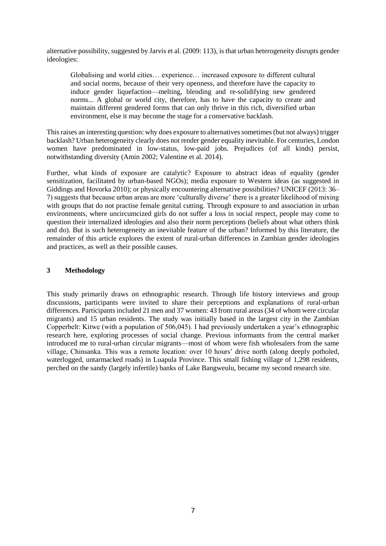alternative possibility, suggested by Jarvis et al. (2009: 113), is that urban heterogeneity disrupts gender ideologies:

Globalising and world cities… experience… increased exposure to different cultural and social norms, because of their very openness, and therefore have the capacity to induce gender liquefaction—melting, blending and re-solidifying new gendered norms... A global or world city, therefore, has to have the capacity to create and maintain different gendered forms that can only thrive in this rich, diversified urban environment, else it may become the stage for a conservative backlash.

This raises an interesting question: why does exposure to alternatives sometimes (but not always) trigger backlash? Urban heterogeneity clearly does not render gender equality inevitable. For centuries, London women have predominated in low-status, low-paid jobs. Prejudices (of all kinds) persist, notwithstanding diversity (Amin 2002; Valentine et al. 2014).

Further, what kinds of exposure are catalytic? Exposure to abstract ideas of equality (gender sensitization, facilitated by urban-based NGOs); media exposure to Western ideas (as suggested in Giddings and Hovorka 2010); or physically encountering alternative possibilities? UNICEF (2013: 36– 7) suggests that because urban areas are more 'culturally diverse' there is a greater likelihood of mixing with groups that do not practise female genital cutting. Through exposure to and association in urban environments, where uncircumcized girls do not suffer a loss in social respect, people may come to question their internalized ideologies and also their norm perceptions (beliefs about what others think and do). But is such heterogeneity an inevitable feature of the urban? Informed by this literature, the remainder of this article explores the extent of rural-urban differences in Zambian gender ideologies and practices, as well as their possible causes.

# **3 Methodology**

This study primarily draws on ethnographic research. Through life history interviews and group discussions, participants were invited to share their perceptions and explanations of rural-urban differences. Participants included 21 men and 37 women: 43 from rural areas (34 of whom were circular migrants) and 15 urban residents. The study was initially based in the largest city in the Zambian Copperbelt: Kitwe (with a population of 506,045). I had previously undertaken a year's ethnographic research here, exploring processes of social change. Previous informants from the central market introduced me to rural-urban circular migrants—most of whom were fish wholesalers from the same village, Chinsanka. This was a remote location: over 10 hours' drive north (along deeply potholed, waterlogged, untarmacked roads) in Luapula Province. This small fishing village of 1,298 residents, perched on the sandy (largely infertile) banks of Lake Bangweulu, became my second research site.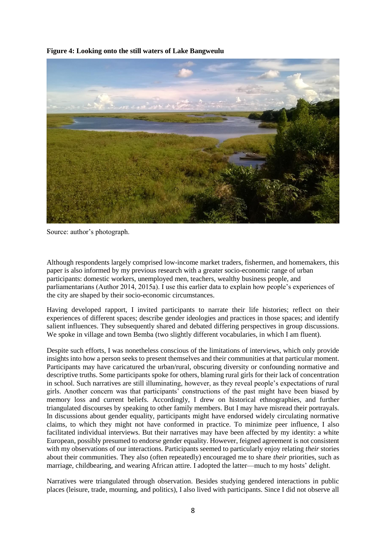**Figure 4: Looking onto the still waters of Lake Bangweulu**



Source: author's photograph.

Although respondents largely comprised low-income market traders, fishermen, and homemakers, this paper is also informed by my previous research with a greater socio-economic range of urban participants: domestic workers, unemployed men, teachers, wealthy business people, and parliamentarians (Author 2014, 2015a). I use this earlier data to explain how people's experiences of the city are shaped by their socio-economic circumstances.

Having developed rapport, I invited participants to narrate their life histories; reflect on their experiences of different spaces; describe gender ideologies and practices in those spaces; and identify salient influences. They subsequently shared and debated differing perspectives in group discussions. We spoke in village and town Bemba (two slightly different vocabularies, in which I am fluent).

Despite such efforts, I was nonetheless conscious of the limitations of interviews, which only provide insights into how a person seeks to present themselves and their communities at that particular moment. Participants may have caricatured the urban/rural, obscuring diversity or confounding normative and descriptive truths. Some participants spoke for others, blaming rural girls for their lack of concentration in school. Such narratives are still illuminating, however, as they reveal people's expectations of rural girls. Another concern was that participants' constructions of the past might have been biased by memory loss and current beliefs. Accordingly, I drew on historical ethnographies, and further triangulated discourses by speaking to other family members. But I may have misread their portrayals. In discussions about gender equality, participants might have endorsed widely circulating normative claims, to which they might not have conformed in practice. To minimize peer influence, I also facilitated individual interviews. But their narratives may have been affected by my identity: a white European, possibly presumed to endorse gender equality. However, feigned agreement is not consistent with my observations of our interactions. Participants seemed to particularly enjoy relating *their* stories about their communities. They also (often repeatedly) encouraged me to share *their* priorities, such as marriage, childbearing, and wearing African attire. I adopted the latter—much to my hosts' delight.

Narratives were triangulated through observation. Besides studying gendered interactions in public places (leisure, trade, mourning, and politics), I also lived with participants. Since I did not observe all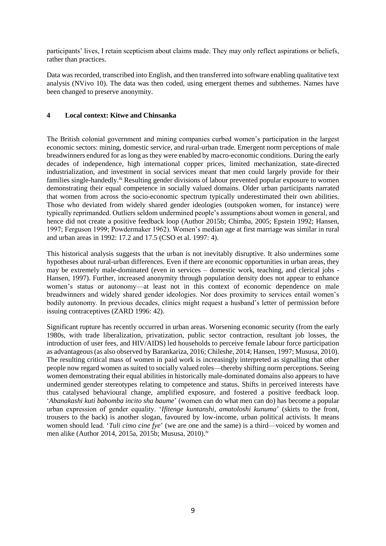participants' lives, I retain scepticism about claims made. They may only reflect aspirations or beliefs, rather than practices.

Data was recorded, transcribed into English, and then transferred into software enabling qualitative text analysis (NVivo 10). The data was then coded, using emergent themes and subthemes. Names have been changed to preserve anonymity.

## **4 Local context: Kitwe and Chinsanka**

The British colonial government and mining companies curbed women's participation in the largest economic sectors: mining, domestic service, and rural-urban trade. Emergent norm perceptions of male breadwinners endured for as long as they were enabled by macro-economic conditions. During the early decades of independence, high international copper prices, limited mechanization, state-directed industrialization, and investment in social services meant that men could largely provide for their families single-handedly.<sup>iii</sup> Resulting gender divisions of labour prevented popular exposure to women demonstrating their equal competence in socially valued domains. Older urban participants narrated that women from across the socio-economic spectrum typically underestimated their own abilities. Those who deviated from widely shared gender ideologies (outspoken women, for instance) were typically reprimanded. Outliers seldom undermined people's assumptions about women in general, and hence did not create a positive feedback loop (Author 2015b; Chimba, 2005; Epstein 1992; Hansen, 1997; Ferguson 1999; Powdermaker 1962). Women's median age at first marriage was similar in rural and urban areas in 1992: 17.2 and 17.5 (CSO et al. 1997: 4).

This historical analysis suggests that the urban is not inevitably disruptive. It also undermines some hypotheses about rural-urban differences. Even if there are economic opportunities in urban areas, they may be extremely male-dominated (even in services – domestic work, teaching, and clerical jobs - Hansen, 1997). Further, increased anonymity through population density does not appear to enhance women's status or autonomy—at least not in this context of economic dependence on male breadwinners and widely shared gender ideologies. Nor does proximity to services entail women's bodily autonomy. In previous decades, clinics might request a husband's letter of permission before issuing contraceptives (ZARD 1996: 42).

Significant rupture has recently occurred in urban areas. Worsening economic security (from the early 1980s, with trade liberalization, privatization, public sector contraction, resultant job losses, the introduction of user fees, and HIV/AIDS) led households to perceive female labour force participation as advantageous (as also observed by Barankariza, 2016; Chileshe, 2014; Hansen, 1997; Mususa, 2010). The resulting critical mass of women in paid work is increasingly interpreted as signalling that other people now regard women as suited to socially valued roles—thereby shifting norm perceptions. Seeing women demonstrating their equal abilities in historically male-dominated domains also appears to have undermined gender stereotypes relating to competence and status. Shifts in perceived interests have thus catalysed behavioural change, amplified exposure, and fostered a positive feedback loop. '*Abanakashi kuti babomba incito sha baume*' (women can do what men can do) has become a popular urban expression of gender equality. '*Ifitenge kuntanshi, amatoloshi kunuma*' (skirts to the front, trousers to the back) is another slogan, favoured by low-income, urban political activists. It means women should lead. '*Tuli cimo cine fye*' (we are one and the same) is a third—voiced by women and men alike (Author 2014, 2015a, 2015b; Mususa, 2010).<sup>iv</sup>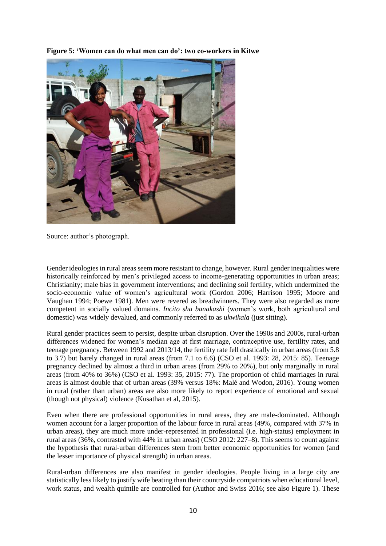**Figure 5: 'Women can do what men can do': two co-workers in Kitwe**



Source: author's photograph.

Gender ideologies in rural areas seem more resistant to change, however. Rural gender inequalities were historically reinforced by men's privileged access to income-generating opportunities in urban areas; Christianity; male bias in government interventions; and declining soil fertility, which undermined the socio-economic value of women's agricultural work (Gordon 2006; Harrison 1995; Moore and Vaughan 1994; Poewe 1981). Men were revered as breadwinners. They were also regarded as more competent in socially valued domains. *Incito sha banakashi* (women's work, both agricultural and domestic) was widely devalued, and commonly referred to as *ukwikala* (just sitting).

Rural gender practices seem to persist, despite urban disruption. Over the 1990s and 2000s, rural-urban differences widened for women's median age at first marriage, contraceptive use, fertility rates, and teenage pregnancy. Between 1992 and 2013/14, the fertility rate fell drastically in urban areas (from 5.8 to 3.7) but barely changed in rural areas (from 7.1 to 6.6) (CSO et al. 1993: 28, 2015: 85). Teenage pregnancy declined by almost a third in urban areas (from 29% to 20%), but only marginally in rural areas (from 40% to 36%) (CSO et al. 1993: 35, 2015: 77). The proportion of child marriages in rural areas is almost double that of urban areas (39% versus 18%: Malé and Wodon, 2016). Young women in rural (rather than urban) areas are also more likely to report experience of emotional and sexual (though not physical) violence (Kusathan et al, 2015).

Even when there are professional opportunities in rural areas, they are male-dominated. Although women account for a larger proportion of the labour force in rural areas (49%, compared with 37% in urban areas), they are much more under-represented in professional (i.e. high-status) employment in rural areas (36%, contrasted with 44% in urban areas) (CSO 2012: 227–8). This seems to count against the hypothesis that rural-urban differences stem from better economic opportunities for women (and the lesser importance of physical strength) in urban areas.

Rural-urban differences are also manifest in gender ideologies. People living in a large city are statistically less likely to justify wife beating than their countryside compatriots when educational level, work status, and wealth quintile are controlled for (Author and Swiss 2016; see also Figure 1). These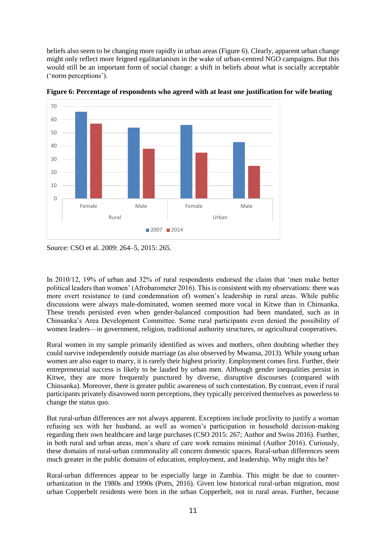beliefs also seem to be changing more rapidly in urban areas (Figure 6). Clearly, apparent urban change might only reflect more feigned egalitarianism in the wake of urban-centred NGO campaigns. But this would still be an important form of social change: a shift in beliefs about what is socially acceptable ('norm perceptions').



**Figure 6: Percentage of respondents who agreed with at least one justification for wife beating**

In 2010/12, 19% of urban and 32% of rural respondents endorsed the claim that 'men make better political leaders than women' (Afrobarometer 2016). This is consistent with my observations: there was more overt resistance to (and condemnation of) women's leadership in rural areas. While public discussions were always male-dominated, women seemed more vocal in Kitwe than in Chinsanka. These trends persisted even when gender-balanced composition had been mandated, such as in Chinsanka's Area Development Committee. Some rural participants even denied the possibility of women leaders—in government, religion, traditional authority structures, or agricultural cooperatives.

Rural women in my sample primarily identified as wives and mothers, often doubting whether they could survive independently outside marriage (as also observed by Mwansa, 2013). While young urban women are also eager to marry, it is rarely their highest priority. Employment comes first. Further, their entrepreneurial success is likely to be lauded by urban men. Although gender inequalities persist in Kitwe, they are more frequently punctured by diverse, disruptive discourses (compared with Chinsanka). Moreover, there is greater public awareness of such contestation. By contrast, even if rural participants privately disavowed norm perceptions, they typically perceived themselves as powerless to change the status quo.

But rural-urban differences are not always apparent. Exceptions include proclivity to justify a woman refusing sex with her husband, as well as women's participation in household decision-making regarding their own healthcare and large purchases (CSO 2015: 267; Author and Swiss 2016). Further, in both rural and urban areas, men's share of care work remains minimal (Author 2016). Curiously, these domains of rural-urban commonality all concern domestic spaces. Rural-urban differences seem much greater in the public domains of education, employment, and leadership. Why might this be?

Rural-urban differences appear to be especially large in Zambia. This might be due to counterurbanization in the 1980s and 1990s (Potts, 2016). Given low historical rural-urban migration, most urban Copperbelt residents were born in the urban Copperbelt, not in rural areas. Further, because

Source: CSO et al. 2009: 264–5, 2015: 265.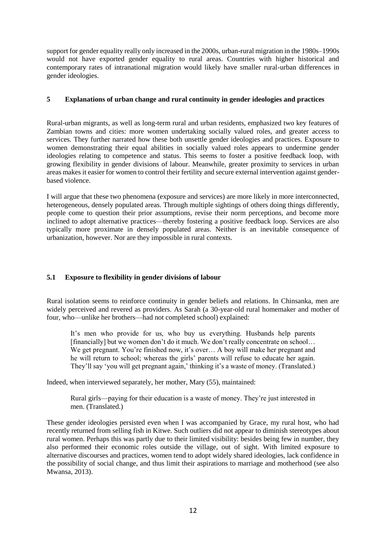support for gender equality really only increased in the 2000s, urban-rural migration in the 1980s–1990s would not have exported gender equality to rural areas. Countries with higher historical and contemporary rates of intranational migration would likely have smaller rural-urban differences in gender ideologies.

## **5 Explanations of urban change and rural continuity in gender ideologies and practices**

Rural-urban migrants, as well as long-term rural and urban residents, emphasized two key features of Zambian towns and cities: more women undertaking socially valued roles, and greater access to services. They further narrated how these both unsettle gender ideologies and practices. Exposure to women demonstrating their equal abilities in socially valued roles appears to undermine gender ideologies relating to competence and status. This seems to foster a positive feedback loop, with growing flexibility in gender divisions of labour. Meanwhile, greater proximity to services in urban areas makes it easier for women to control their fertility and secure external intervention against genderbased violence.

I will argue that these two phenomena (exposure and services) are more likely in more interconnected, heterogeneous, densely populated areas. Through multiple sightings of others doing things differently, people come to question their prior assumptions, revise their norm perceptions, and become more inclined to adopt alternative practices—thereby fostering a positive feedback loop. Services are also typically more proximate in densely populated areas. Neither is an inevitable consequence of urbanization, however. Nor are they impossible in rural contexts.

# **5.1 Exposure to flexibility in gender divisions of labour**

Rural isolation seems to reinforce continuity in gender beliefs and relations. In Chinsanka, men are widely perceived and revered as providers. As Sarah (a 30-year-old rural homemaker and mother of four, who—unlike her brothers—had not completed school) explained:

It's men who provide for us, who buy us everything. Husbands help parents [financially] but we women don't do it much. We don't really concentrate on school… We get pregnant. You're finished now, it's over... A boy will make her pregnant and he will return to school; whereas the girls' parents will refuse to educate her again. They'll say 'you will get pregnant again,' thinking it's a waste of money. (Translated.)

Indeed, when interviewed separately, her mother, Mary (55), maintained:

Rural girls—paying for their education is a waste of money. They're just interested in men. (Translated.)

These gender ideologies persisted even when I was accompanied by Grace, my rural host, who had recently returned from selling fish in Kitwe. Such outliers did not appear to diminish stereotypes about rural women. Perhaps this was partly due to their limited visibility: besides being few in number, they also performed their economic roles outside the village, out of sight. With limited exposure to alternative discourses and practices, women tend to adopt widely shared ideologies, lack confidence in the possibility of social change, and thus limit their aspirations to marriage and motherhood (see also Mwansa, 2013).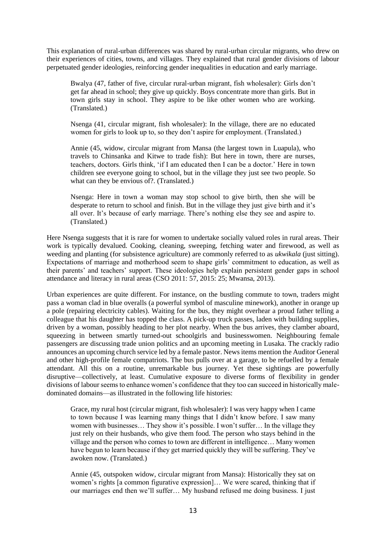This explanation of rural-urban differences was shared by rural-urban circular migrants, who drew on their experiences of cities, towns, and villages. They explained that rural gender divisions of labour perpetuated gender ideologies, reinforcing gender inequalities in education and early marriage.

Bwalya (47, father of five, circular rural-urban migrant, fish wholesaler): Girls don't get far ahead in school; they give up quickly. Boys concentrate more than girls. But in town girls stay in school. They aspire to be like other women who are working. (Translated.)

Nsenga (41, circular migrant, fish wholesaler): In the village, there are no educated women for girls to look up to, so they don't aspire for employment. (Translated.)

Annie (45, widow, circular migrant from Mansa (the largest town in Luapula), who travels to Chinsanka and Kitwe to trade fish): But here in town, there are nurses, teachers, doctors. Girls think, 'if I am educated then I can be a doctor.' Here in town children see everyone going to school, but in the village they just see two people. So what can they be envious of?. (Translated.)

Nsenga: Here in town a woman may stop school to give birth, then she will be desperate to return to school and finish. But in the village they just give birth and it's all over. It's because of early marriage. There's nothing else they see and aspire to. (Translated.)

Here Nsenga suggests that it is rare for women to undertake socially valued roles in rural areas. Their work is typically devalued. Cooking, cleaning, sweeping, fetching water and firewood, as well as weeding and planting (for subsistence agriculture) are commonly referred to as *ukwikala* (just sitting). Expectations of marriage and motherhood seem to shape girls' commitment to education, as well as their parents' and teachers' support. These ideologies help explain persistent gender gaps in school attendance and literacy in rural areas (CSO 2011: 57, 2015: 25; Mwansa, 2013).

Urban experiences are quite different. For instance, on the bustling commute to town, traders might pass a woman clad in blue overalls (a powerful symbol of masculine minework), another in orange up a pole (repairing electricity cables). Waiting for the bus, they might overhear a proud father telling a colleague that his daughter has topped the class. A pick-up truck passes, laden with building supplies, driven by a woman, possibly heading to her plot nearby. When the bus arrives, they clamber aboard, squeezing in between smartly turned-out schoolgirls and businesswomen. Neighbouring female passengers are discussing trade union politics and an upcoming meeting in Lusaka. The crackly radio announces an upcoming church service led by a female pastor. News items mention the Auditor General and other high-profile female compatriots. The bus pulls over at a garage, to be refuelled by a female attendant. All this on a routine, unremarkable bus journey. Yet these sightings are powerfully disruptive—collectively, at least. Cumulative exposure to diverse forms of flexibility in gender divisions of labour seems to enhance women's confidence that they too can succeed in historically maledominated domains—as illustrated in the following life histories:

Grace, my rural host (circular migrant, fish wholesaler): I was very happy when I came to town because I was learning many things that I didn't know before. I saw many women with businesses... They show it's possible. I won't suffer... In the village they just rely on their husbands, who give them food. The person who stays behind in the village and the person who comes to town are different in intelligence… Many women have begun to learn because if they get married quickly they will be suffering. They've awoken now. (Translated.)

Annie (45, outspoken widow, circular migrant from Mansa): Historically they sat on women's rights [a common figurative expression]… We were scared, thinking that if our marriages end then we'll suffer… My husband refused me doing business. I just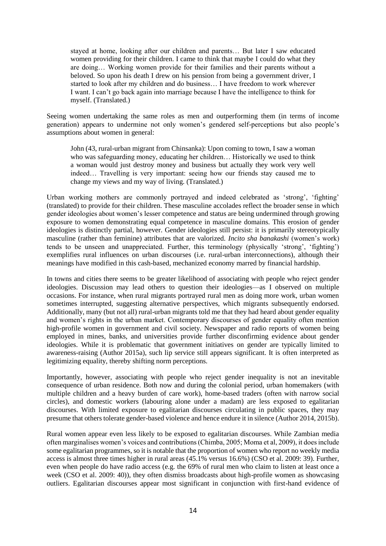stayed at home, looking after our children and parents… But later I saw educated women providing for their children. I came to think that maybe I could do what they are doing… Working women provide for their families and their parents without a beloved. So upon his death I drew on his pension from being a government driver, I started to look after my children and do business… I have freedom to work wherever I want. I can't go back again into marriage because I have the intelligence to think for myself. (Translated.)

Seeing women undertaking the same roles as men and outperforming them (in terms of income generation) appears to undermine not only women's gendered self-perceptions but also people's assumptions about women in general:

John (43, rural-urban migrant from Chinsanka): Upon coming to town, I saw a woman who was safeguarding money, educating her children… Historically we used to think a woman would just destroy money and business but actually they work very well indeed… Travelling is very important: seeing how our friends stay caused me to change my views and my way of living. (Translated.)

Urban working mothers are commonly portrayed and indeed celebrated as 'strong', 'fighting' (translated) to provide for their children. These masculine accolades reflect the broader sense in which gender ideologies about women's lesser competence and status are being undermined through growing exposure to women demonstrating equal competence in masculine domains. This erosion of gender ideologies is distinctly partial, however. Gender ideologies still persist: it is primarily stereotypically masculine (rather than feminine) attributes that are valorized. *Incito sha banakashi* (women's work) tends to be unseen and unappreciated. Further, this terminology (physically 'strong', 'fighting') exemplifies rural influences on urban discourses (i.e. rural-urban interconnections), although their meanings have modified in this cash-based, mechanized economy marred by financial hardship.

In towns and cities there seems to be greater likelihood of associating with people who reject gender ideologies. Discussion may lead others to question their ideologies—as I observed on multiple occasions. For instance, when rural migrants portrayed rural men as doing more work, urban women sometimes interrupted, suggesting alternative perspectives, which migrants subsequently endorsed. Additionally, many (but not all) rural-urban migrants told me that they had heard about gender equality and women's rights in the urban market. Contemporary discourses of gender equality often mention high-profile women in government and civil society. Newspaper and radio reports of women being employed in mines, banks, and universities provide further disconfirming evidence about gender ideologies. While it is problematic that government initiatives on gender are typically limited to awareness-raising (Author 2015a), such lip service still appears significant. It is often interpreted as legitimizing equality, thereby shifting norm perceptions.

Importantly, however, associating with people who reject gender inequality is not an inevitable consequence of urban residence. Both now and during the colonial period, urban homemakers (with multiple children and a heavy burden of care work), home-based traders (often with narrow social circles), and domestic workers (labouring alone under a madam) are less exposed to egalitarian discourses. With limited exposure to egalitarian discourses circulating in public spaces, they may presume that others tolerate gender-based violence and hence endure it in silence (Author 2014, 2015b).

Rural women appear even less likely to be exposed to egalitarian discourses. While Zambian media often marginalises women's voices and contributions (Chimba, 2005; Moma et al, 2009), it does include some egalitarian programmes, so it is notable that the proportion of women who report no weekly media access is almost three times higher in rural areas (45.1% versus 16.6%) (CSO et al. 2009: 39). Further, even when people do have radio access (e.g. the 69% of rural men who claim to listen at least once a week (CSO et al. 2009: 40)), they often dismiss broadcasts about high-profile women as showcasing outliers. Egalitarian discourses appear most significant in conjunction with first-hand evidence of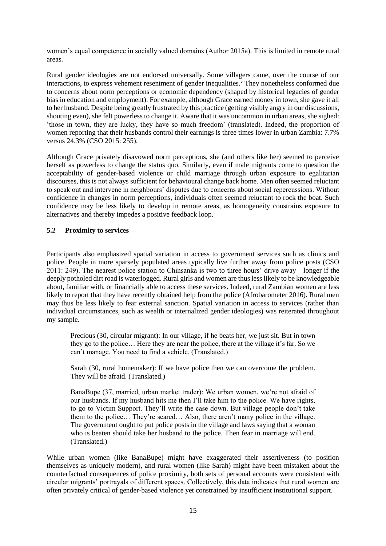women's equal competence in socially valued domains (Author 2015a). This is limited in remote rural areas.

Rural gender ideologies are not endorsed universally. Some villagers came, over the course of our interactions, to express vehement resentment of gender inequalities.<sup> $\bar{v}$ </sup> They nonetheless conformed due to concerns about norm perceptions or economic dependency (shaped by historical legacies of gender bias in education and employment). For example, although Grace earned money in town, she gave it all to her husband. Despite being greatly frustrated by this practice (getting visibly angry in our discussions, shouting even), she felt powerless to change it. Aware that it was uncommon in urban areas, she sighed: 'those in town, they are lucky, they have so much freedom' (translated). Indeed, the proportion of women reporting that their husbands control their earnings is three times lower in urban Zambia: 7.7% versus 24.3% (CSO 2015: 255).

Although Grace privately disavowed norm perceptions, she (and others like her) seemed to perceive herself as powerless to change the status quo. Similarly, even if male migrants come to question the acceptability of gender-based violence or child marriage through urban exposure to egalitarian discourses, this is not always sufficient for behavioural change back home. Men often seemed reluctant to speak out and intervene in neighbours' disputes due to concerns about social repercussions. Without confidence in changes in norm perceptions, individuals often seemed reluctant to rock the boat. Such confidence may be less likely to develop in remote areas, as homogeneity constrains exposure to alternatives and thereby impedes a positive feedback loop.

# **5.2 Proximity to services**

Participants also emphasized spatial variation in access to government services such as clinics and police. People in more sparsely populated areas typically live further away from police posts (CSO 2011: 249). The nearest police station to Chinsanka is two to three hours' drive away—longer if the deeply potholed dirt road is waterlogged. Rural girls and women are thus less likely to be knowledgeable about, familiar with, or financially able to access these services. Indeed, rural Zambian women are less likely to report that they have recently obtained help from the police (Afrobarometer 2016). Rural men may thus be less likely to fear external sanction. Spatial variation in access to services (rather than individual circumstances, such as wealth or internalized gender ideologies) was reiterated throughout my sample.

Precious (30, circular migrant): In our village, if he beats her, we just sit. But in town they go to the police… Here they are near the police, there at the village it's far. So we can't manage. You need to find a vehicle. (Translated.)

Sarah (30, rural homemaker): If we have police then we can overcome the problem. They will be afraid. (Translated.)

BanaBupe (37, married, urban market trader): We urban women, we're not afraid of our husbands. If my husband hits me then I'll take him to the police. We have rights, to go to Victim Support. They'll write the case down. But village people don't take them to the police… They're scared… Also, there aren't many police in the village. The government ought to put police posts in the village and laws saying that a woman who is beaten should take her husband to the police. Then fear in marriage will end. (Translated.)

While urban women (like BanaBupe) might have exaggerated their assertiveness (to position themselves as uniquely modern), and rural women (like Sarah) might have been mistaken about the counterfactual consequences of police proximity, both sets of personal accounts were consistent with circular migrants' portrayals of different spaces. Collectively, this data indicates that rural women are often privately critical of gender-based violence yet constrained by insufficient institutional support.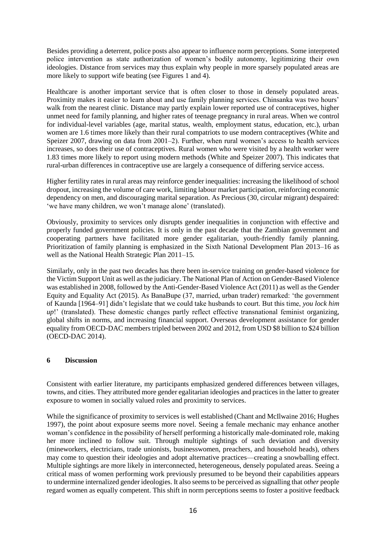Besides providing a deterrent, police posts also appear to influence norm perceptions. Some interpreted police intervention as state authorization of women's bodily autonomy, legitimizing their own ideologies. Distance from services may thus explain why people in more sparsely populated areas are more likely to support wife beating (see Figures 1 and 4).

Healthcare is another important service that is often closer to those in densely populated areas. Proximity makes it easier to learn about and use family planning services. Chinsanka was two hours' walk from the nearest clinic. Distance may partly explain lower reported use of contraceptives, higher unmet need for family planning, and higher rates of teenage pregnancy in rural areas. When we control for individual-level variables (age, marital status, wealth, employment status, education, etc.), urban women are 1.6 times more likely than their rural compatriots to use modern contraceptives (White and Speizer 2007, drawing on data from 2001–2). Further, when rural women's access to health services increases, so does their use of contraceptives. Rural women who were visited by a health worker were 1.83 times more likely to report using modern methods (White and Speizer 2007). This indicates that rural-urban differences in contraceptive use are largely a consequence of differing service access.

Higher fertility rates in rural areas may reinforce gender inequalities: increasing the likelihood of school dropout, increasing the volume of care work, limiting labour market participation, reinforcing economic dependency on men, and discouraging marital separation. As Precious (30, circular migrant) despaired: 'we have many children, we won't manage alone' (translated).

Obviously, proximity to services only disrupts gender inequalities in conjunction with effective and properly funded government policies. It is only in the past decade that the Zambian government and cooperating partners have facilitated more gender egalitarian, youth-friendly family planning. Prioritization of family planning is emphasized in the Sixth National Development Plan 2013–16 as well as the National Health Strategic Plan 2011–15.

Similarly, only in the past two decades has there been in-service training on gender-based violence for the Victim Support Unit as well as the judiciary. The National Plan of Action on Gender-Based Violence was established in 2008, followed by the Anti-Gender-Based Violence Act (2011) as well as the Gender Equity and Equality Act (2015). As BanaBupe (37, married, urban trader) remarked: 'the government of Kaunda [1964–91] didn't legislate that we could take husbands to court. But this time, *you lock him up*!' (translated). These domestic changes partly reflect effective transnational feminist organizing, global shifts in norms, and increasing financial support. Overseas development assistance for gender equality from OECD-DAC members tripled between 2002 and 2012, from USD \$8 billion to \$24 billion (OECD-DAC 2014).

### **6 Discussion**

Consistent with earlier literature, my participants emphasized gendered differences between villages, towns, and cities. They attributed more gender egalitarian ideologies and practices in the latter to greater exposure to women in socially valued roles and proximity to services.

While the significance of proximity to services is well established (Chant and McIlwaine 2016; Hughes 1997), the point about exposure seems more novel. Seeing a female mechanic may enhance another woman's confidence in the possibility of herself performing a historically male-dominated role, making her more inclined to follow suit. Through multiple sightings of such deviation and diversity (mineworkers, electricians, trade unionists, businesswomen, preachers, and household heads), others may come to question their ideologies and adopt alternative practices—creating a snowballing effect. Multiple sightings are more likely in interconnected, heterogeneous, densely populated areas. Seeing a critical mass of women performing work previously presumed to be beyond their capabilities appears to undermine internalized gender ideologies. It also seems to be perceived as signalling that *other* people regard women as equally competent. This shift in norm perceptions seems to foster a positive feedback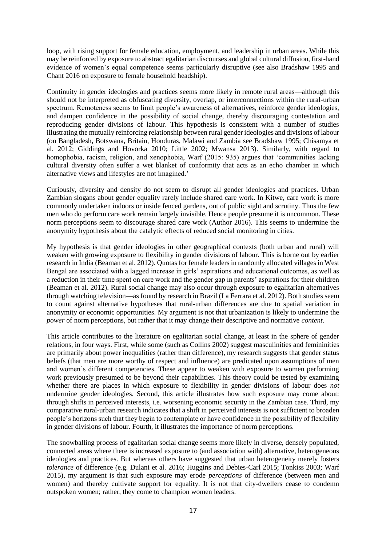loop, with rising support for female education, employment, and leadership in urban areas. While this may be reinforced by exposure to abstract egalitarian discourses and global cultural diffusion, first-hand evidence of women's equal competence seems particularly disruptive (see also Bradshaw 1995 and Chant 2016 on exposure to female household headship).

Continuity in gender ideologies and practices seems more likely in remote rural areas—although this should not be interpreted as obfuscating diversity, overlap, or interconnections within the rural-urban spectrum. Remoteness seems to limit people's awareness of alternatives, reinforce gender ideologies, and dampen confidence in the possibility of social change, thereby discouraging contestation and reproducing gender divisions of labour. This hypothesis is consistent with a number of studies illustrating the mutually reinforcing relationship between rural gender ideologies and divisions of labour (on Bangladesh, Botswana, Britain, Honduras, Malawi and Zambia see Bradshaw 1995; Chisamya et al. 2012; Giddings and Hovorka 2010; Little 2002; Mwansa 2013). Similarly, with regard to homophobia, racism, religion, and xenophobia, Warf (2015: 935) argues that 'communities lacking cultural diversity often suffer a wet blanket of conformity that acts as an echo chamber in which alternative views and lifestyles are not imagined.'

Curiously, diversity and density do not seem to disrupt all gender ideologies and practices. Urban Zambian slogans about gender equality rarely include shared care work. In Kitwe, care work is more commonly undertaken indoors or inside fenced gardens, out of public sight and scrutiny. Thus the few men who do perform care work remain largely invisible. Hence people presume it is uncommon. These norm perceptions seem to discourage shared care work (Author 2016). This seems to undermine the anonymity hypothesis about the catalytic effects of reduced social monitoring in cities.

My hypothesis is that gender ideologies in other geographical contexts (both urban and rural) will weaken with growing exposure to flexibility in gender divisions of labour. This is borne out by earlier research in India (Beaman et al. 2012). Quotas for female leaders in randomly allocated villages in West Bengal are associated with a lagged increase in girls' aspirations and educational outcomes, as well as a reduction in their time spent on care work and the gender gap in parents' aspirations for their children (Beaman et al. 2012). Rural social change may also occur through exposure to egalitarian alternatives through watching television—as found by research in Brazil (La Ferrara et al. 2012). Both studies seem to count against alternative hypotheses that rural-urban differences are due to spatial variation in anonymity or economic opportunities. My argument is not that urbanization is likely to undermine the *power* of norm perceptions, but rather that it may change their descriptive and normative *content*.

This article contributes to the literature on egalitarian social change, at least in the sphere of gender relations, in four ways. First, while some (such as Collins 2002) suggest masculinities and femininities are primarily about power inequalities (rather than difference), my research suggests that gender status beliefs (that men are more worthy of respect and influence) are predicated upon assumptions of men and women's different competencies. These appear to weaken with exposure to women performing work previously presumed to be beyond their capabilities. This theory could be tested by examining whether there are places in which exposure to flexibility in gender divisions of labour does *not* undermine gender ideologies. Second, this article illustrates how such exposure may come about: through shifts in perceived interests, i.e. worsening economic security in the Zambian case. Third, my comparative rural-urban research indicates that a shift in perceived interests is not sufficient to broaden people's horizons such that they begin to contemplate or have confidence in the possibility of flexibility in gender divisions of labour. Fourth, it illustrates the importance of norm perceptions.

The snowballing process of egalitarian social change seems more likely in diverse, densely populated, connected areas where there is increased exposure to (and association with) alternative, heterogeneous ideologies and practices. But whereas others have suggested that urban heterogeneity merely fosters *tolerance* of difference (e.g. Dulani et al. 2016; Huggins and Debies-Carl 2015; Tonkiss 2003; Warf 2015), my argument is that such exposure may erode *perceptions* of difference (between men and women) and thereby cultivate support for equality. It is not that city-dwellers cease to condemn outspoken women; rather, they come to champion women leaders.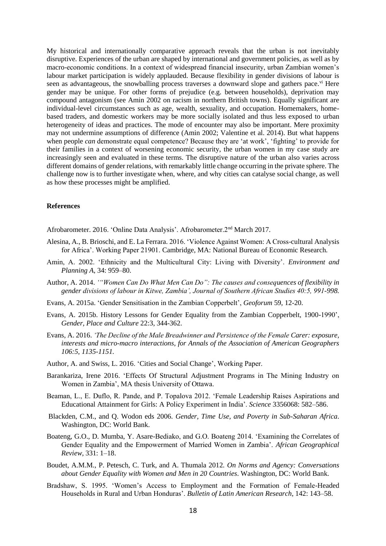My historical and internationally comparative approach reveals that the urban is not inevitably disruptive. Experiences of the urban are shaped by international and government policies, as well as by macro-economic conditions. In a context of widespread financial insecurity, urban Zambian women's labour market participation is widely applauded. Because flexibility in gender divisions of labour is seen as advantageous, the snowballing process traverses a downward slope and gathers pace.<sup>vi</sup> Here gender may be unique. For other forms of prejudice (e.g. between households), deprivation may compound antagonism (see Amin 2002 on racism in northern British towns). Equally significant are individual-level circumstances such as age, wealth, sexuality, and occupation. Homemakers, homebased traders, and domestic workers may be more socially isolated and thus less exposed to urban heterogeneity of ideas and practices. The mode of encounter may also be important. Mere proximity may not undermine assumptions of difference (Amin 2002; Valentine et al. 2014). But what happens when people *can* demonstrate equal competence? Because they are 'at work', 'fighting' to provide for their families in a context of worsening economic security, the urban women in my case study are increasingly seen and evaluated in these terms. The disruptive nature of the urban also varies across different domains of gender relations, with remarkably little change occurring in the private sphere. The challenge now is to further investigate when, where, and why cities can catalyse social change, as well as how these processes might be amplified.

#### **References**

Afrobarometer. 2016. 'Online Data Analysis'. Afrobarometer.2nd March 2017.

- Alesina, A., B. Brioschi, and E. La Ferrara. 2016. 'Violence Against Women: A Cross-cultural Analysis for Africa'. Working Paper 21901. Cambridge, MA: National Bureau of Economic Research.
- Amin, A. 2002. 'Ethnicity and the Multicultural City: Living with Diversity'. *Environment and Planning A*, 34: 959–80.
- Author, A. 2014. *'"Women Can Do What Men Can Do": The causes and consequences of flexibility in gender divisions of labour in Kitwe, Zambia', Journal of Southern African Studies 40:5, 991-998.*
- Evans, A. 2015a. 'Gender Sensitisation in the Zambian Copperbelt', *Geoforum* 59, 12-20.
- Evans, A. 2015b. History Lessons for Gender Equality from the Zambian Copperbelt, 1900-1990', *Gender, Place and Culture* 22:3, 344-362.
- Evans, A. 2016. *'The Decline of the Male Breadwinner and Persistence of the Female Carer: exposure, interests and micro-macro interactions, for Annals of the Association of American Geographers 106:5, 1135-1151.*
- Author, A. and Swiss, L. 2016. 'Cities and Social Change', Working Paper.
- Barankariza, Irene 2016. 'Effects Of Structural Adjustment Programs in The Mining Industry on Women in Zambia', MA thesis University of Ottawa.
- Beaman, L., E. Duflo, R. Pande, and P. Topalova 2012. 'Female Leadership Raises Aspirations and Educational Attainment for Girls: A Policy Experiment in India'. *Science* 3356068: 582–586.
- Blackden, C.M., and Q. Wodon eds 2006. *Gender, Time Use, and Poverty in Sub-Saharan Africa*. Washington, DC: World Bank.
- Boateng, G.O., D. Mumba, Y. Asare-Bediako, and G.O. Boateng 2014. 'Examining the Correlates of Gender Equality and the Empowerment of Married Women in Zambia'. *African Geographical Review*, 331: 1–18.
- Boudet, A.M.M., P. Petesch, C. Turk, and A. Thumala 2012. *On Norms and Agency: Conversations about Gender Equality with Women and Men in 20 Countries*. Washington, DC: World Bank.
- Bradshaw, S. 1995. 'Women's Access to Employment and the Formation of Female-Headed Households in Rural and Urban Honduras'. *Bulletin of Latin American Research*, 142: 143–58.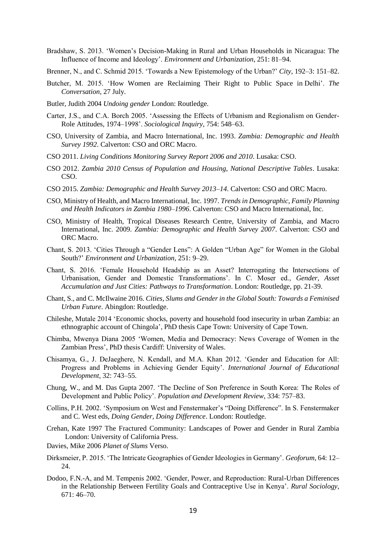- Bradshaw, S. 2013. 'Women's Decision-Making in Rural and Urban Households in Nicaragua: The Influence of Income and Ideology'. *Environment and Urbanization*, 251: 81–94.
- Brenner, N., and C. Schmid 2015. 'Towards a New Epistemology of the Urban?' *City*, 192–3: 151–82.
- Butcher, M. 2015. 'How Women are Reclaiming Their Right to Public Space in Delhi'. *The Conversation*, 27 July.
- Butler, Judith 2004 *Undoing gender* London: Routledge.
- Carter, J.S., and C.A. Borch 2005. 'Assessing the Effects of Urbanism and Regionalism on Gender-Role Attitudes, 1974–1998'. *Sociological Inquiry*, 754: 548–63.
- CSO, University of Zambia, and Macro International, Inc. 1993. *Zambia: Demographic and Health Survey 1992*. Calverton: CSO and ORC Macro.
- CSO 2011. *Living Conditions Monitoring Survey Report 2006 and 2010*. Lusaka: CSO.
- CSO 2012. *Zambia 2010 Census of Population and Housing, National Descriptive Tables*. Lusaka: CSO.
- CSO 2015. *Zambia: Demographic and Health Survey 2013–14*. Calverton: CSO and ORC Macro.
- CSO, Ministry of Health, and Macro International, Inc. 1997. *Trends in Demographic, Family Planning and Health Indicators in Zambia 1980–1996*. Calverton: CSO and Macro International, Inc.
- CSO, Ministry of Health, Tropical Diseases Research Centre, University of Zambia, and Macro International, Inc. 2009. *Zambia: Demographic and Health Survey 2007*. Calverton: CSO and ORC Macro.
- Chant, S. 2013. 'Cities Through a "Gender Lens": A Golden "Urban Age" for Women in the Global South?' *Environment and Urbanization*, 251: 9–29.
- Chant, S. 2016. 'Female Household Headship as an Asset? Interrogating the Intersections of Urbanisation, Gender and Domestic Transformations'. In C. Moser ed., *Gender, Asset Accumulation and Just Cities: Pathways to Transformation*. London: Routledge, pp. 21-39.
- Chant, S., and C. McIlwaine 2016. *Cities, Slums and Gender in the Global South: Towards a Feminised Urban Future*. Abingdon: Routledge.
- Chileshe, Mutale 2014 'Economic shocks, poverty and household food insecurity in urban Zambia: an ethnographic account of Chingola', PhD thesis Cape Town: University of Cape Town.
- Chimba, Mwenya Diana 2005 'Women, Media and Democracy: News Coverage of Women in the Zambian Press', PhD thesis Cardiff: University of Wales.
- Chisamya, G., J. DeJaeghere, N. Kendall, and M.A. Khan 2012. 'Gender and Education for All: Progress and Problems in Achieving Gender Equity'. *International Journal of Educational Development*, 32: 743–55.
- Chung, W., and M. Das Gupta 2007. 'The Decline of Son Preference in South Korea: The Roles of Development and Public Policy'. *Population and Development Review*, 334: 757–83.
- Collins, P.H. 2002. 'Symposium on West and Fenstermaker's "Doing Difference". In S. Fenstermaker and C. West eds, *Doing Gender, Doing Difference*. London: Routledge.
- Crehan, Kate 1997 The Fractured Community: Landscapes of Power and Gender in Rural Zambia London: University of California Press.
- Davies, Mike 2006 *Planet of Slums* Verso.
- Dirksmeier, P. 2015. 'The Intricate Geographies of Gender Ideologies in Germany'. *Geoforum*, 64: 12– 24.
- Dodoo, F.N.-A, and M. Tempenis 2002. 'Gender, Power, and Reproduction: Rural-Urban Differences in the Relationship Between Fertility Goals and Contraceptive Use in Kenya'. *Rural Sociology*, 671: 46–70.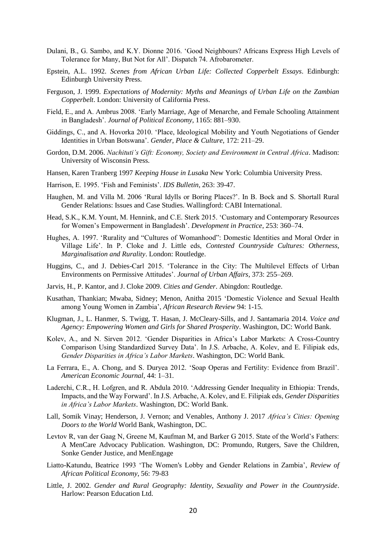- Dulani, B., G. Sambo, and K.Y. Dionne 2016. 'Good Neighbours? Africans Express High Levels of Tolerance for Many, But Not for All'. Dispatch 74. Afrobarometer.
- Epstein, A.L. 1992. *Scenes from African Urban Life: Collected Copperbelt Essays*. Edinburgh: Edinburgh University Press.
- Ferguson, J. 1999. *Expectations of Modernity: Myths and Meanings of Urban Life on the Zambian Copperbelt*. London: University of California Press.
- Field, E., and A. Ambrus 2008. 'Early Marriage, Age of Menarche, and Female Schooling Attainment in Bangladesh'. *Journal of Political Economy*, 1165: 881–930.
- Giddings, C., and A. Hovorka 2010. 'Place, Ideological Mobility and Youth Negotiations of Gender Identities in Urban Botswana'. *Gender, Place & Culture*, 172: 211–29.
- Gordon, D.M. 2006. *Nachituti's Gift: Economy, Society and Environment in Central Africa*. Madison: University of Wisconsin Press.
- Hansen, Karen Tranberg 1997 *Keeping House in Lusaka* New York: Columbia University Press.
- Harrison, E. 1995. 'Fish and Feminists'. *IDS Bulletin*, 263: 39-47.
- Haughen, M. and Villa M. 2006 'Rural Idylls or Boring Places?'. In B. Bock and S. Shortall Rural Gender Relations: Issues and Case Studies. Wallingford: CABI International.
- Head, S.K., K.M. Yount, M. Hennink, and C.E. Sterk 2015. 'Customary and Contemporary Resources for Women's Empowerment in Bangladesh'. *Development in Practice*, 253: 360–74.
- Hughes, A. 1997. 'Rurality and "Cultures of Womanhood": Domestic Identities and Moral Order in Village Life'. In P. Cloke and J. Little eds, *Contested Countryside Cultures: Otherness, Marginalisation and Rurality*. London: Routledge.
- Huggins, C., and J. Debies-Carl 2015. 'Tolerance in the City: The Multilevel Effects of Urban Environments on Permissive Attitudes'. *Journal of Urban Affairs*, 373: 255–269.
- Jarvis, H., P. Kantor, and J. Cloke 2009. *Cities and Gender*. Abingdon: Routledge.
- Kusathan, Thankian; Mwaba, Sidney; Menon, Anitha 2015 'Domestic Violence and Sexual Health among Young Women in Zambia', *African Research Review* 94: 1-15.
- Klugman, J., L. Hanmer, S. Twigg, T. Hasan, J. McCleary-Sills, and J. Santamaria 2014. *Voice and Agency: Empowering Women and Girls for Shared Prosperity*. Washington, DC: World Bank.
- Kolev, A., and N. Sirven 2012. 'Gender Disparities in Africa's Labor Markets: A Cross-Country Comparison Using Standardized Survey Data'. In J.S. Arbache, A. Kolev, and E. Filipiak eds, *Gender Disparities in Africa's Labor Markets*. Washington, DC: World Bank.
- La Ferrara, E., A. Chong, and S. Duryea 2012. 'Soap Operas and Fertility: Evidence from Brazil'. *American Economic Journal*, 44: 1–31.
- Laderchi, C.R., H. Lofgren, and R. Abdula 2010. 'Addressing Gender Inequality in Ethiopia: Trends, Impacts, and the Way Forward'. In J.S. Arbache, A. Kolev, and E. Filipiak eds, *Gender Disparities in Africa's Labor Markets*. Washington, DC: World Bank.
- Lall, Somik Vinay; Henderson, J. Vernon; and Venables, Anthony J. 2017 *Africa's Cities: Opening Doors to the World* World Bank, Washington, DC.
- Levtov R, van der Gaag N, Greene M, Kaufman M, and Barker G 2015. State of the World's Fathers: A MenCare Advocacy Publication. Washington, DC: Promundo, Rutgers, Save the Children, Sonke Gender Justice, and MenEngage
- Liatto-Katundu, Beatrice 1993 'The Women's Lobby and Gender Relations in Zambia', *Review of African Political Economy*, 56: 79-83
- Little, J. 2002. *Gender and Rural Geography: Identity, Sexuality and Power in the Countryside*. Harlow: Pearson Education Ltd.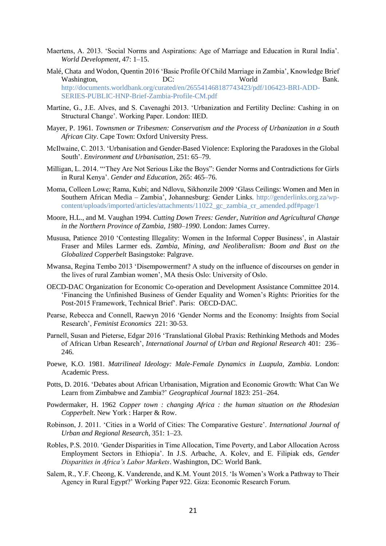- Maertens, A. 2013. 'Social Norms and Aspirations: Age of Marriage and Education in Rural India'. *World Development*, 47: 1–15.
- Malé, Chata and Wodon, Quentin 2016 'Basic Profile Of Child Marriage in Zambia', Knowledge Brief Washington,  $DC$ : World Bank. [http://documents.worldbank.org/curated/en/265541468187743423/pdf/106423-BRI-ADD-](http://documents.worldbank.org/curated/en/265541468187743423/pdf/106423-BRI-ADD-SERIES-PUBLIC-HNP-Brief-Zambia-Profile-CM.pdf)[SERIES-PUBLIC-HNP-Brief-Zambia-Profile-CM.pdf](http://documents.worldbank.org/curated/en/265541468187743423/pdf/106423-BRI-ADD-SERIES-PUBLIC-HNP-Brief-Zambia-Profile-CM.pdf)
- Martine, G., J.E. Alves, and S. Cavenaghi 2013. 'Urbanization and Fertility Decline: Cashing in on Structural Change'. Working Paper. London: IIED.
- Mayer, P. 1961. *Townsmen or Tribesmen: Conservatism and the Process of Urbanization in a South African City*. Cape Town: Oxford University Press.
- McIlwaine, C. 2013. 'Urbanisation and Gender-Based Violence: Exploring the Paradoxes in the Global South'. *Environment and Urbanisation*, 251: 65–79.
- Milligan, L. 2014. "'They Are Not Serious Like the Boys": Gender Norms and Contradictions for Girls in Rural Kenya'. *Gender and Education*, 265: 465–76.
- Moma, Colleen Lowe; Rama, Kubi; and Ndlovu, Sikhonzile 2009 'Glass Ceilings: Women and Men in Southern African Media – Zambia', Johannesburg: Gender Links. [http://genderlinks.org.za/wp](http://genderlinks.org.za/wp-content/uploads/imported/articles/attachments/11022_gc_zambia_cr_amended.pdf#page/1)[content/uploads/imported/articles/attachments/11022\\_gc\\_zambia\\_cr\\_amended.pdf#page/1](http://genderlinks.org.za/wp-content/uploads/imported/articles/attachments/11022_gc_zambia_cr_amended.pdf#page/1)
- Moore, H.L., and M. Vaughan 1994. *Cutting Down Trees: Gender, Nutrition and Agricultural Change in the Northern Province of Zambia, 1980–1990*. London: James Currey.
- Mususa, Patience 2010 'Contesting Illegality: Women in the Informal Copper Business', in Alastair Fraser and Miles Larmer eds. *Zambia, Mining, and Neoliberalism: Boom and Bust on the Globalized Copperbelt* Basingstoke: Palgrave.
- Mwansa, Regina Tembo 2013 'Disempowerment? A study on the influence of discourses on gender in the lives of rural Zambian women', MA thesis Oslo: University of Oslo.
- OECD-DAC Organization for Economic Co-operation and Development Assistance Committee 2014. 'Financing the Unfinished Business of Gender Equality and Women's Rights: Priorities for the Post-2015 Framework, Technical Brief'. Paris: OECD-DAC.
- Pearse, Rebecca and Connell, Raewyn 2016 'Gender Norms and the Economy: Insights from Social Research', *Feminist Economics* 221: 30-53.
- Parnell, Susan and Pieterse, Edgar 2016 'Translational Global Praxis: Rethinking Methods and Modes of African Urban Research', *International Journal of Urban and Regional Research* 401: 236– 246.
- Poewe, K.O. 1981. *Matrilineal Ideology: Male-Female Dynamics in Luapula, Zambia*. London: Academic Press.
- Potts, D. 2016. 'Debates about African Urbanisation, Migration and Economic Growth: What Can We Learn from Zimbabwe and Zambia?' *Geographical Journal* 1823: 251–264.
- Powdermaker, H. 1962 *Copper town : changing Africa : the human situation on the Rhodesian Copperbelt*. New York : Harper & Row.
- Robinson, J. 2011. 'Cities in a World of Cities: The Comparative Gesture'. *International Journal of Urban and Regional Research*, 351: 1–23.
- Robles, P.S. 2010. 'Gender Disparities in Time Allocation, Time Poverty, and Labor Allocation Across Employment Sectors in Ethiopia'. In J.S. Arbache, A. Kolev, and E. Filipiak eds, *Gender Disparities in Africa's Labor Markets*. Washington, DC: World Bank.
- Salem, R., Y.F. Cheong, K. Vanderende, and K.M. Yount 2015. 'Is Women's Work a Pathway to Their Agency in Rural Egypt?' Working Paper 922. Giza: Economic Research Forum.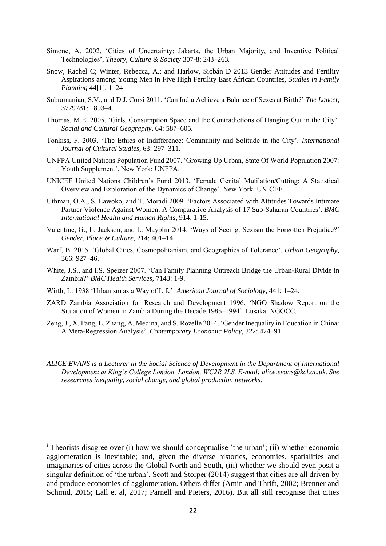- Simone, A. 2002. 'Cities of Uncertainty: Jakarta, the Urban Majority, and Inventive Political Technologies', *Theory, Culture & Society* 307-8: 243–263*.*
- Snow, Rachel C; Winter, Rebecca, A.; and Harlow, Siobán D 2013 Gender Attitudes and Fertility Aspirations among Young Men in Five High Fertility East African Countries, *Studies in Family Planning* 44[1]: 1–24
- Subramanian, S.V., and D.J. Corsi 2011. 'Can India Achieve a Balance of Sexes at Birth?' *The Lancet*, 3779781: 1893–4.
- Thomas, M.E. 2005. 'Girls, Consumption Space and the Contradictions of Hanging Out in the City'. *Social and Cultural Geography*, 64: 587–605.
- Tonkiss, F. 2003. 'The Ethics of Indifference: Community and Solitude in the City'. *International Journal of Cultural Studies*, 63: 297–311.
- UNFPA United Nations Population Fund 2007. 'Growing Up Urban, State Of World Population 2007: Youth Supplement'. New York: UNFPA.
- UNICEF United Nations Children's Fund 2013. 'Female Genital Mutilation/Cutting: A Statistical Overview and Exploration of the Dynamics of Change'. New York: UNICEF.
- Uthman, O.A., S. Lawoko, and T. Moradi 2009. 'Factors Associated with Attitudes Towards Intimate Partner Violence Against Women: A Comparative Analysis of 17 Sub-Saharan Countries'. *BMC International Health and Human Rights*, 914: 1-15.
- Valentine, G., L. Jackson, and L. Mayblin 2014. 'Ways of Seeing: Sexism the Forgotten Prejudice?' *Gender, Place & Culture*, 214: 401–14.
- Warf, B. 2015. 'Global Cities, Cosmopolitanism, and Geographies of Tolerance'. *Urban Geography*, 366: 927–46.
- White, J.S., and I.S. Speizer 2007. 'Can Family Planning Outreach Bridge the Urban-Rural Divide in Zambia?' *BMC Health Services*, 7143: 1-9.
- Wirth, L. 1938 'Urbanism as a Way of Life'. *American Journal of Sociology*, 441: 1–24.
- ZARD Zambia Association for Research and Development 1996. 'NGO Shadow Report on the Situation of Women in Zambia During the Decade 1985–1994'. Lusaka: NGOCC.
- Zeng, J., X. Pang, L. Zhang, A. Medina, and S. Rozelle 2014. 'Gender Inequality in Education in China: A Meta-Regression Analysis'. *Contemporary Economic Policy*, 322: 474–91.
- *ALICE EVANS is a Lecturer in the Social Science of Development in the Department of International Development at King's College London, London, WC2R 2LS. E-mail[: alice.evans@kcl.ac.uk.](mailto:alice.evans@kcl.ac.uk) She researches inequality, social change, and global production networks.*

-

<sup>i</sup> Theorists disagree over (i) how we should conceptualise 'the urban'; (ii) whether economic agglomeration is inevitable; and, given the diverse histories, economies, spatialities and imaginaries of cities across the Global North and South, (iii) whether we should even posit a singular definition of 'the urban'. Scott and Storper (2014) suggest that cities are all driven by and produce economies of agglomeration. Others differ (Amin and Thrift, 2002; Brenner and Schmid, 2015; Lall et al, 2017; Parnell and Pieters, 2016). But all still recognise that cities